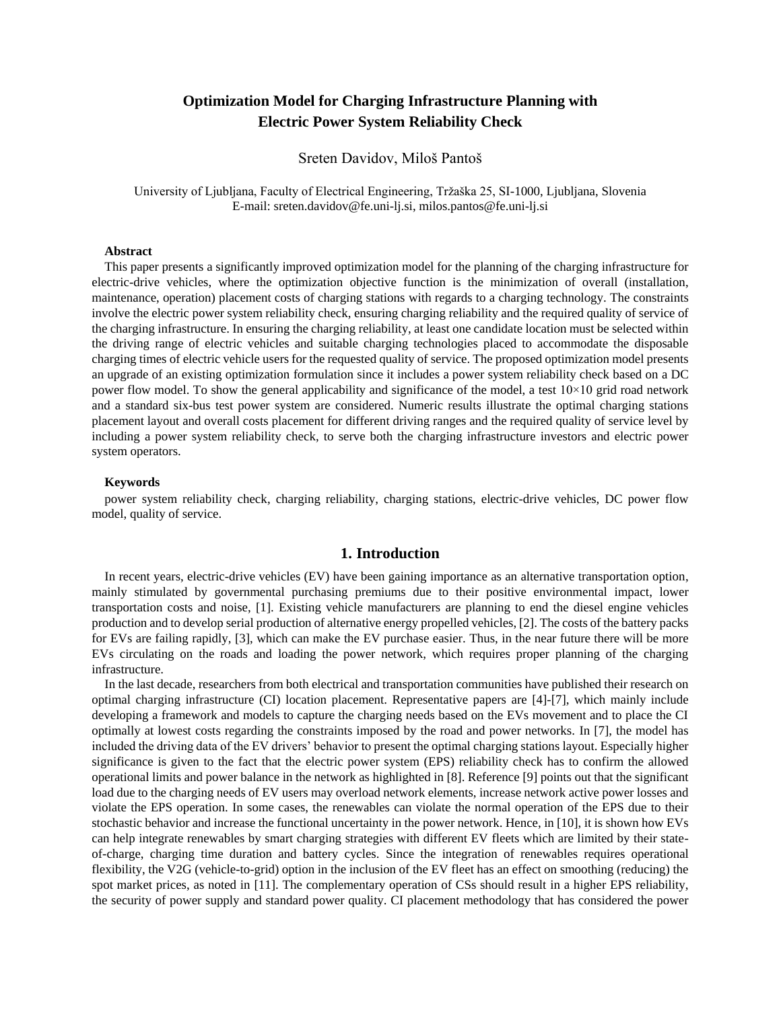# **Optimization Model for Charging Infrastructure Planning with Electric Power System Reliability Check**

Sreten Davidov, Miloš Pantoš

University of Ljubljana, Faculty of Electrical Engineering, Tržaška 25, SI-1000, Ljubljana, Slovenia E-mail: sreten.davidov@fe.uni-lj.si, milos.pantos@fe.uni-lj.si

## **Abstract**

This paper presents a significantly improved optimization model for the planning of the charging infrastructure for electric-drive vehicles, where the optimization objective function is the minimization of overall (installation, maintenance, operation) placement costs of charging stations with regards to a charging technology. The constraints involve the electric power system reliability check, ensuring charging reliability and the required quality of service of the charging infrastructure. In ensuring the charging reliability, at least one candidate location must be selected within the driving range of electric vehicles and suitable charging technologies placed to accommodate the disposable charging times of electric vehicle users for the requested quality of service. The proposed optimization model presents an upgrade of an existing optimization formulation since it includes a power system reliability check based on a DC power flow model. To show the general applicability and significance of the model, a test  $10\times10$  grid road network and a standard six-bus test power system are considered. Numeric results illustrate the optimal charging stations placement layout and overall costs placement for different driving ranges and the required quality of service level by including a power system reliability check, to serve both the charging infrastructure investors and electric power system operators.

### **Keywords**

power system reliability check, charging reliability, charging stations, electric-drive vehicles, DC power flow model, quality of service.

# **1. Introduction**

In recent years, electric-drive vehicles (EV) have been gaining importance as an alternative transportation option, mainly stimulated by governmental purchasing premiums due to their positive environmental impact, lower transportation costs and noise, [\[1\].](#page-8-0) Existing vehicle manufacturers are planning to end the diesel engine vehicles production and to develop serial production of alternative energy propelled vehicles[, \[2\].](#page-8-1) The costs of the battery packs for EVs are failing rapidly, [\[3\],](#page-8-2) which can make the EV purchase easier. Thus, in the near future there will be more EVs circulating on the roads and loading the power network, which requires proper planning of the charging infrastructure.

In the last decade, researchers from both electrical and transportation communities have published their research on optimal charging infrastructure (CI) location placement. Representative papers are [\[4\]](#page-8-3)[-\[7\],](#page-8-4) which mainly include developing a framework and models to capture the charging needs based on the EVs movement and to place the CI optimally at lowest costs regarding the constraints imposed by the road and power networks. In [\[7\],](#page-8-4) the model has included the driving data of the EV drivers' behavior to present the optimal charging stations layout. Especially higher significance is given to the fact that the electric power system (EPS) reliability check has to confirm the allowed operational limits and power balance in the network as highlighted in [\[8\].](#page-8-5) Reference [\[9\]](#page-8-6) points out that the significant load due to the charging needs of EV users may overload network elements, increase network active power losses and violate the EPS operation. In some cases, the renewables can violate the normal operation of the EPS due to their stochastic behavior and increase the functional uncertainty in the power network. Hence, in [\[10\],](#page-8-7) it is shown how EVs can help integrate renewables by smart charging strategies with different EV fleets which are limited by their stateof-charge, charging time duration and battery cycles. Since the integration of renewables requires operational flexibility, the V2G (vehicle-to-grid) option in the inclusion of the EV fleet has an effect on smoothing (reducing) the spot market prices, as noted in [\[11\].](#page-8-8) The complementary operation of CSs should result in a higher EPS reliability, the security of power supply and standard power quality. CI placement methodology that has considered the power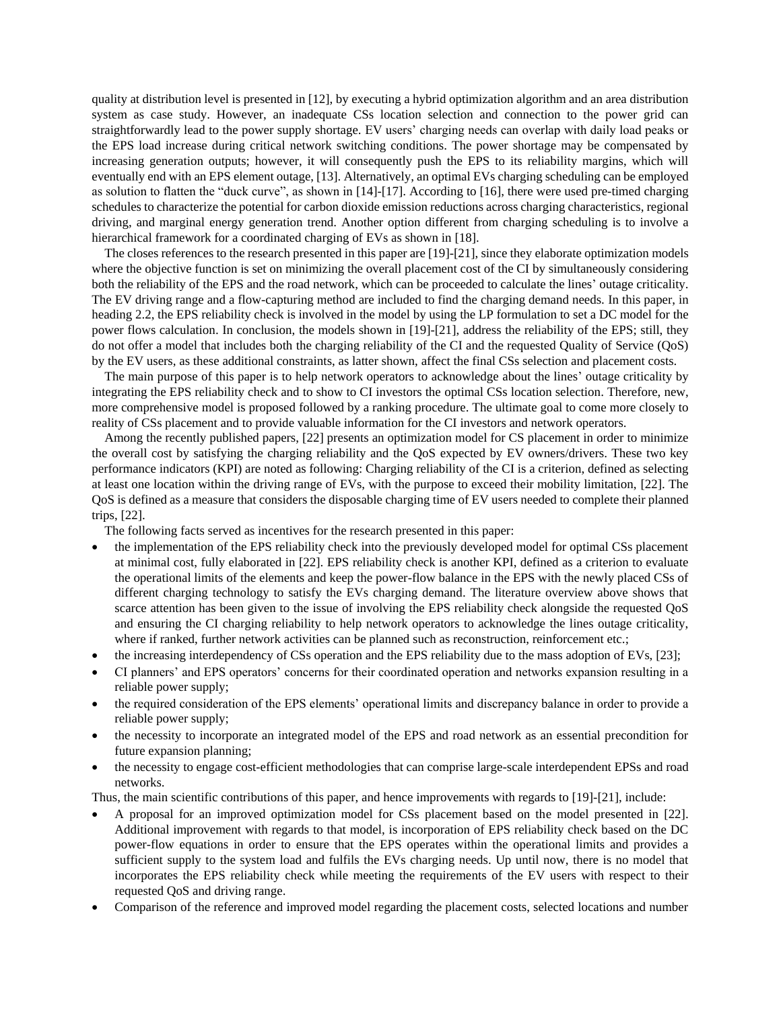quality at distribution level is presented in [\[12\],](#page-8-9) by executing a hybrid optimization algorithm and an area distribution system as case study. However, an inadequate CSs location selection and connection to the power grid can straightforwardly lead to the power supply shortage. EV users' charging needs can overlap with daily load peaks or the EPS load increase during critical network switching conditions. The power shortage may be compensated by increasing generation outputs; however, it will consequently push the EPS to its reliability margins, which will eventually end with an EPS element outage[, \[13\].](#page-8-10) Alternatively, an optimal EVs charging scheduling can be employed as solution to flatten the "duck curve", as shown in [\[14\]](#page-8-11)[-\[17\].](#page-8-12) According to [\[16\],](#page-8-13) there were used pre-timed charging schedules to characterize the potential for carbon dioxide emission reductions across charging characteristics, regional driving, and marginal energy generation trend. Another option different from charging scheduling is to involve a hierarchical framework for a coordinated charging of EVs as shown i[n \[18\].](#page-8-14)

The closes references to the research presented in this paper are [\[19\]-](#page-8-15)[\[21\],](#page-9-0) since they elaborate optimization models where the objective function is set on minimizing the overall placement cost of the CI by simultaneously considering both the reliability of the EPS and the road network, which can be proceeded to calculate the lines' outage criticality. The EV driving range and a flow-capturing method are included to find the charging demand needs. In this paper, in heading [2.2,](#page-5-0) the EPS reliability check is involved in the model by using the LP formulation to set a DC model for the power flows calculation. In conclusion, the models shown in [\[19\]-](#page-8-15)[\[21\],](#page-9-0) address the reliability of the EPS; still, they do not offer a model that includes both the charging reliability of the CI and the requested Quality of Service (QoS) by the EV users, as these additional constraints, as latter shown, affect the final CSs selection and placement costs.

The main purpose of this paper is to help network operators to acknowledge about the lines' outage criticality by integrating the EPS reliability check and to show to CI investors the optimal CSs location selection. Therefore, new, more comprehensive model is proposed followed by a ranking procedure. The ultimate goal to come more closely to reality of CSs placement and to provide valuable information for the CI investors and network operators.

Among the recently published papers, [\[22\]](#page-9-1) presents an optimization model for CS placement in order to minimize the overall cost by satisfying the charging reliability and the QoS expected by EV owners/drivers. These two key performance indicators (KPI) are noted as following: Charging reliability of the CI is a criterion, defined as selecting at least one location within the driving range of EVs, with the purpose to exceed their mobility limitation, [\[22\].](#page-9-1) The QoS is defined as a measure that considers the disposable charging time of EV users needed to complete their planned trips, [\[22\].](#page-9-1)

The following facts served as incentives for the research presented in this paper:

- the implementation of the EPS reliability check into the previously developed model for optimal CSs placement at minimal cost, fully elaborated in [\[22\].](#page-9-1) EPS reliability check is another KPI, defined as a criterion to evaluate the operational limits of the elements and keep the power-flow balance in the EPS with the newly placed CSs of different charging technology to satisfy the EVs charging demand. The literature overview above shows that scarce attention has been given to the issue of involving the EPS reliability check alongside the requested QoS and ensuring the CI charging reliability to help network operators to acknowledge the lines outage criticality, where if ranked, further network activities can be planned such as reconstruction, reinforcement etc.;
- the increasing interdependency of CSs operation and the EPS reliability due to the mass adoption of EVs, [\[23\];](#page-9-2)
- CI planners' and EPS operators' concerns for their coordinated operation and networks expansion resulting in a reliable power supply;
- the required consideration of the EPS elements' operational limits and discrepancy balance in order to provide a reliable power supply;
- the necessity to incorporate an integrated model of the EPS and road network as an essential precondition for future expansion planning;
- the necessity to engage cost-efficient methodologies that can comprise large-scale interdependent EPSs and road networks.

Thus, the main scientific contributions of this paper, and hence improvements with regards t[o \[19\]](#page-8-15)[-\[21\],](#page-9-0) include:

- A proposal for an improved optimization model for CSs placement based on the model presented in [\[22\].](#page-9-1) Additional improvement with regards to that model, is incorporation of EPS reliability check based on the DC power-flow equations in order to ensure that the EPS operates within the operational limits and provides a sufficient supply to the system load and fulfils the EVs charging needs. Up until now, there is no model that incorporates the EPS reliability check while meeting the requirements of the EV users with respect to their requested QoS and driving range.
- Comparison of the reference and improved model regarding the placement costs, selected locations and number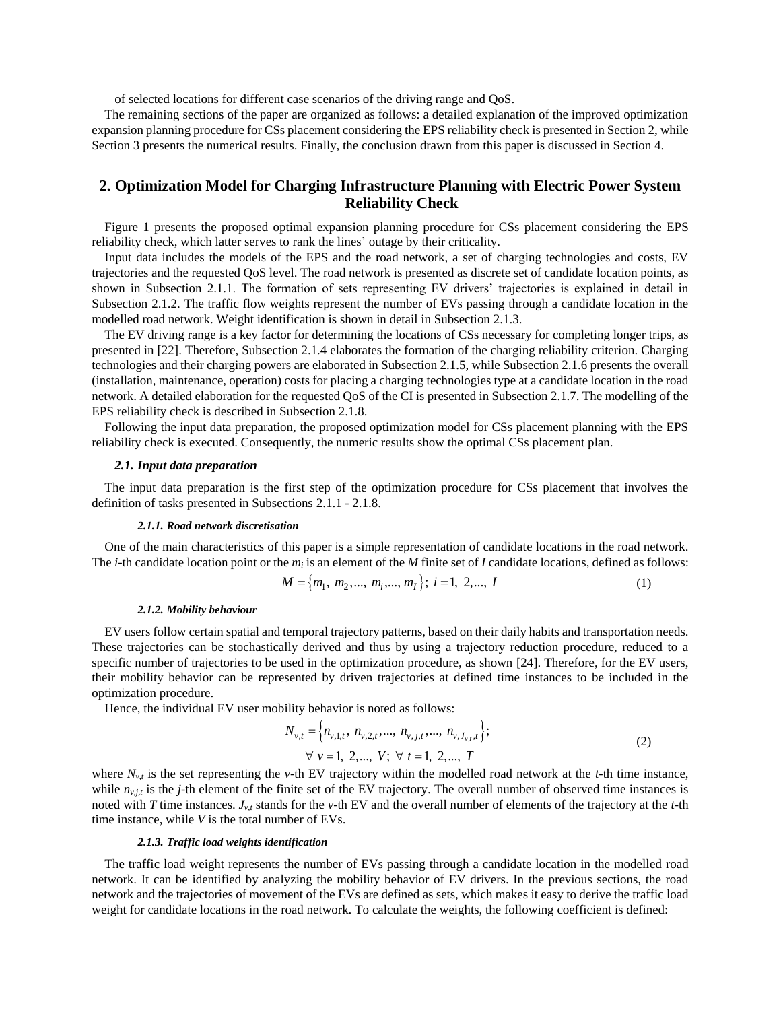of selected locations for different case scenarios of the driving range and QoS.

The remaining sections of the paper are organized as follows: a detailed explanation of the improved optimization expansion planning procedure for CSs placement considering the EPS reliability check is presented in Section [2,](#page-2-0) while Sectio[n 3](#page-6-0) presents the numerical results. Finally, the conclusion drawn from this paper is discussed in Section [4.](#page-7-0)

# <span id="page-2-0"></span>**2. Optimization Model for Charging Infrastructure Planning with Electric Power System Reliability Check**

[Figure 1](#page-11-0) presents the proposed optimal expansion planning procedure for CSs placement considering the EPS reliability check, which latter serves to rank the lines' outage by their criticality.

Input data includes the models of the EPS and the road network, a set of charging technologies and costs, EV trajectories and the requested QoS level. The road network is presented as discrete set of candidate location points, as shown in Subsection [2.1.1.](#page-2-1) The formation of sets representing EV drivers' trajectories is explained in detail in Subsection [2.1.2.](#page-2-2) The traffic flow weights represent the number of EVs passing through a candidate location in the modelled road network. Weight identification is shown in detail in Subsection [2.1.3.](#page-2-3)

The EV driving range is a key factor for determining the locations of CSs necessary for completing longer trips, as presented in [\[22\].](#page-9-1) Therefore, Subsection [2.1.4](#page-3-0) elaborates the formation of the charging reliability criterion. Charging technologies and their charging powers are elaborated in Subsection [2.1.5,](#page-4-0) while Subsectio[n 2.1.6](#page-4-1) presents the overall (installation, maintenance, operation) costs for placing a charging technologies type at a candidate location in the road network. A detailed elaboration for the requested QoS of the CI is presented in Subsection [2.1.7.](#page-4-2) The modelling of the EPS reliability check is described in Subsection [2.1.8.](#page-4-3)

Following the input data preparation, the proposed optimization model for CSs placement planning with the EPS reliability check is executed. Consequently, the numeric results show the optimal CSs placement plan.

## <span id="page-2-4"></span>*2.1. Input data preparation*

<span id="page-2-1"></span>The input data preparation is the first step of the optimization procedure for CSs placement that involves the definition of tasks presented in Subsections [2.1.1](#page-2-1) - [2.1.8.](#page-4-3)

## *2.1.1. Road network discretisation*

One of the main characteristics of this paper is a simple representation of candidate locations in the road network. The *i*-th candidate location point or the *m<sup>i</sup>* is an element of the *M* finite set of *I* candidate locations, defined as follows:

$$
M = \{m_1, m_2, \dots, m_i, \dots, m_I\}; \ i = 1, 2, \dots, I
$$
 (1)

### *2.1.2. Mobility behaviour*

<span id="page-2-2"></span>EV users follow certain spatial and temporal trajectory patterns, based on their daily habits and transportation needs. These trajectories can be stochastically derived and thus by using a trajectory reduction procedure, reduced to a specific number of trajectories to be used in the optimization procedure, as shown [\[24\].](#page-9-3) Therefore, for the EV users, their mobility behavior can be represented by driven trajectories at defined time instances to be included in the optimization procedure.

Hence, the individual EV user mobility behavior is noted as follows:

$$
N_{v,t} = \left\{ n_{v,1,t}, n_{v,2,t}, ..., n_{v,j,t}, ..., n_{v,J_{v,t},t} \right\};
$$
  
\n
$$
\forall v = 1, 2, ..., V; \forall t = 1, 2, ..., T
$$
 (2)

where  $N_{\nu,t}$  is the set representing the *v*-th EV trajectory within the modelled road network at the *t*-th time instance, while  $n_{v,i,t}$  is the *j*-th element of the finite set of the EV trajectory. The overall number of observed time instances is noted with *T* time instances.  $J_{v,t}$  stands for the *v*-th EV and the overall number of elements of the trajectory at the *t*-th time instance, while *V* is the total number of EVs.

## *2.1.3. Traffic load weights identification*

<span id="page-2-3"></span>The traffic load weight represents the number of EVs passing through a candidate location in the modelled road network. It can be identified by analyzing the mobility behavior of EV drivers. In the previous sections, the road network and the trajectories of movement of the EVs are defined as sets, which makes it easy to derive the traffic load weight for candidate locations in the road network. To calculate the weights, the following coefficient is defined: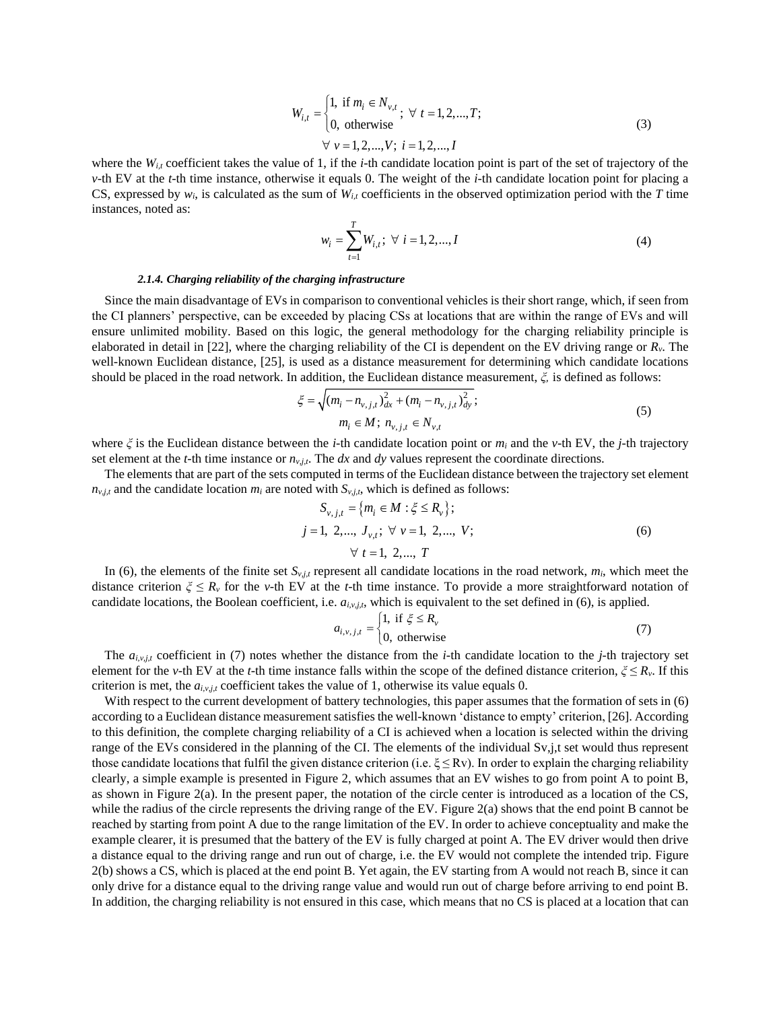$$
W_{i,t} = \begin{cases} 1, & \text{if } m_i \in N_{v,t} \\ 0, & \text{otherwise} \end{cases}; \forall t = 1, 2, ..., T; \forall v = 1, 2, ..., V; i = 1, 2, ..., I
$$
 (3)

where the *W<sub>i,t</sub>* coefficient takes the value of 1, if the *i*-th candidate location point is part of the set of trajectory of the *v*-th EV at the *t*-th time instance, otherwise it equals 0. The weight of the *i*-th candidate location point for placing a CS, expressed by  $w_i$ , is calculated as the sum of  $W_{i,i}$  coefficients in the observed optimization period with the *T* time instances, noted as:

<span id="page-3-3"></span>
$$
w_i = \sum_{t=1}^{T} W_{i,t}; \ \forall \ i = 1, 2, ..., I
$$
 (4)

#### *2.1.4. Charging reliability of the charging infrastructure*

<span id="page-3-0"></span>Since the main disadvantage of EVs in comparison to conventional vehicles is their short range, which, if seen from the CI planners' perspective, can be exceeded by placing CSs at locations that are within the range of EVs and will ensure unlimited mobility. Based on this logic, the general methodology for the charging reliability principle is elaborated in detail in [\[22\],](#page-9-1) where the charging reliability of the CI is dependent on the EV driving range or  $R<sub>v</sub>$ . The well-known Euclidean distance, [\[25\],](#page-9-4) is used as a distance measurement for determining which candidate locations should be placed in the road network. In addition, the Euclidean distance measurement, *ξ,* is defined as follows:

$$
\xi = \sqrt{(m_i - n_{v,j,t})_{dx}^2 + (m_i - n_{v,j,t})_{dy}^2};
$$
  
\n
$$
m_i \in M; n_{v,j,t} \in N_{v,t}
$$
\n(5)

where *ξ* is the Euclidean distance between the *i*-th candidate location point or *m<sup>i</sup>* and the *v*-th EV, the *j*-th trajectory set element at the *t*-th time instance or  $n_{v,i,t}$ . The *dx* and *dy* values represent the coordinate directions.

The elements that are part of the sets computed in terms of the Euclidean distance between the trajectory set element  $n_{v,j,t}$  and the candidate location  $m_i$  are noted with  $S_{v,j,t}$ , which is defined as follows:

$$
S_{v,j,t} = \{m_i \in M : \xi \le R_v\};
$$
  
\n $j = 1, 2, ..., J_{v,t}; \forall v = 1, 2, ..., V;$   
\n $\forall t = 1, 2, ..., T$  (6)

In [\(6\),](#page-3-1) the elements of the finite set  $S_{v,i,t}$  represent all candidate locations in the road network,  $m_i$ , which meet the distance criterion  $\zeta \le R_v$  for the *v*-th EV at the *t*-th time instance. To provide a more straightforward notation of candidate locations, the Boolean coefficient, i.e. *ai,v,j,t*, which is equivalent to the set defined in [\(6\),](#page-3-1) is applied.

<span id="page-3-2"></span><span id="page-3-1"></span>
$$
a_{i,v,j,t} = \begin{cases} 1, & \text{if } \xi \le R_v \\ 0, & \text{otherwise} \end{cases}
$$
 (7)

The  $a_{i,v,i,t}$  coefficient in [\(7\)](#page-3-2) notes whether the distance from the *i*-th candidate location to the *j*-th trajectory set element for the *v*-th EV at the *t*-th time instance falls within the scope of the defined distance criterion, *ξ* ≤ *Rv*. If this criterion is met, the *ai,v,j,t* coefficient takes the value of 1, otherwise its value equals 0.

With respect to the current development of battery technologies, this paper assumes that the formation of sets i[n \(6\)](#page-3-1) according to a Euclidean distance measurement satisfies the well-known 'distance to empty' criterion[, \[26\].](#page-9-5) According to this definition, the complete charging reliability of a CI is achieved when a location is selected within the driving range of the EVs considered in the planning of the CI. The elements of the individual Sv, j, t set would thus represent those candidate locations that fulfil the given distance criterion (i.e.  $\xi \leq Rv$ ). In order to explain the charging reliability clearly, a simple example is presented in [Figure 2,](#page-11-1) which assumes that an EV wishes to go from point A to point B, as shown in [Figure 2\(](#page-11-1)a). In the present paper, the notation of the circle center is introduced as a location of the  $CS$ , while the radius of the circle represents the driving range of the EV[. Figure 2\(](#page-11-1)a) shows that the end point B cannot be reached by starting from point A due to the range limitation of the EV. In order to achieve conceptuality and make the example clearer, it is presumed that the battery of the EV is fully charged at point A. The EV driver would then drive a distance equal to the driving range and run out of charge, i.e. the EV would not complete the intended trip. [Figure](#page-11-1)  [2\(](#page-11-1)b) shows a CS, which is placed at the end point B. Yet again, the EV starting from A would not reach B, since it can only drive for a distance equal to the driving range value and would run out of charge before arriving to end point B. In addition, the charging reliability is not ensured in this case, which means that no CS is placed at a location that can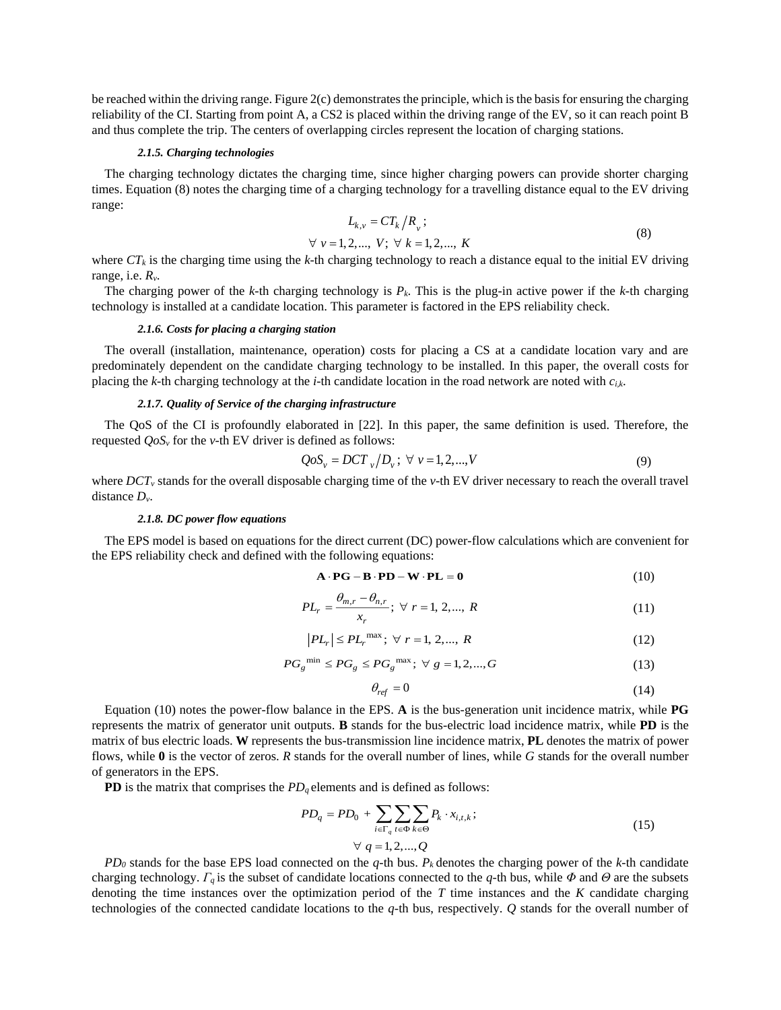be reached within the driving range[. Figure 2\(](#page-11-1)c) demonstrates the principle, which is the basis for ensuring the charging reliability of the CI. Starting from point A, a CS2 is placed within the driving range of the EV, so it can reach point B and thus complete the trip. The centers of overlapping circles represent the location of charging stations.

## *2.1.5. Charging technologies*

<span id="page-4-0"></span>The charging technology dictates the charging time, since higher charging powers can provide shorter charging times. Equation [\(8\)](#page-4-4) notes the charging time of a charging technology for a travelling distance equal to the EV driving range:

<span id="page-4-4"></span>
$$
L_{k,v} = CT_k / R_v ;
$$
  
\n
$$
\forall v = 1, 2, ..., V; \forall k = 1, 2, ..., K
$$
 (8)

where  $CT_k$  is the charging time using the k-th charging technology to reach a distance equal to the initial EV driving range, i.e. *Rv*.

<span id="page-4-1"></span>The charging power of the *k*-th charging technology is  $P_k$ . This is the plug-in active power if the *k*-th charging technology is installed at a candidate location. This parameter is factored in the EPS reliability check.

## *2.1.6. Costs for placing a charging station*

The overall (installation, maintenance, operation) costs for placing a CS at a candidate location vary and are predominately dependent on the candidate charging technology to be installed. In this paper, the overall costs for placing the *k*-th charging technology at the *i*-th candidate location in the road network are noted with *ci,k*.

#### *2.1.7. Quality of Service of the charging infrastructure*

<span id="page-4-2"></span>The QoS of the CI is profoundly elaborated in [\[22\].](#page-9-1) In this paper, the same definition is used. Therefore, the requested *QoS<sup>v</sup>* for the *v*-th EV driver is defined as follows:

$$
QoS_v = DCT_v/D_v; \ \forall \ v = 1, 2, ..., V
$$
 (9)

<span id="page-4-3"></span>where  $DCT_v$  stands for the overall disposable charging time of the  $v$ -th EV driver necessary to reach the overall travel distance *Dv*.

#### *2.1.8. DC power flow equations*

The EPS model is based on equations for the direct current (DC) power-flow calculations which are convenient for the EPS reliability check and defined with the following equations:

$$
\mathbf{A} \cdot \mathbf{P} \mathbf{G} - \mathbf{B} \cdot \mathbf{P} \mathbf{D} - \mathbf{W} \cdot \mathbf{P} \mathbf{L} = \mathbf{0} \tag{10}
$$

$$
PL_r = \frac{\theta_{m,r} - \theta_{n,r}}{x_r}; \ \forall \ r = 1, 2, ..., R
$$
 (11)

$$
|PL_r| \le PL_r^{\max}; \ \forall \ r = 1, 2, ..., R
$$
 (12)

$$
PG_{g}^{\min} \le PG_{g} \le PG_{g}^{\max}; \ \forall \ g = 1, 2, ..., G
$$
 (13)

<span id="page-4-10"></span><span id="page-4-9"></span><span id="page-4-8"></span><span id="page-4-7"></span><span id="page-4-6"></span><span id="page-4-5"></span>
$$
\theta_{ref} = 0 \tag{14}
$$

Equation [\(10\)](#page-4-5) notes the power-flow balance in the EPS. **A** is the bus-generation unit incidence matrix, while **PG** represents the matrix of generator unit outputs. **B** stands for the bus-electric load incidence matrix, while **PD** is the matrix of bus electric loads. **W** represents the bus-transmission line incidence matrix, **PL** denotes the matrix of power flows, while **0** is the vector of zeros. *R* stands for the overall number of lines, while *G* stands for the overall number of generators in the EPS.

**PD** is the matrix that comprises the *PDq* elements and is defined as follows:

$$
PD_q = PD_0 + \sum_{i \in \Gamma_q} \sum_{t \in \Phi} \sum_{k \in \Theta} P_k \cdot x_{i,t,k};
$$
  

$$
\forall q = 1, 2, ..., Q
$$
 (15)

 $PD_0$  stands for the base EPS load connected on the *q*-th bus.  $P_k$  denotes the charging power of the *k*-th candidate charging technology. *Γq* is the subset of candidate locations connected to the *q*-th bus, while *Φ* and *Θ* are the subsets denoting the time instances over the optimization period of the *T* time instances and the *K* candidate charging technologies of the connected candidate locations to the *q*-th bus, respectively. *Q* stands for the overall number of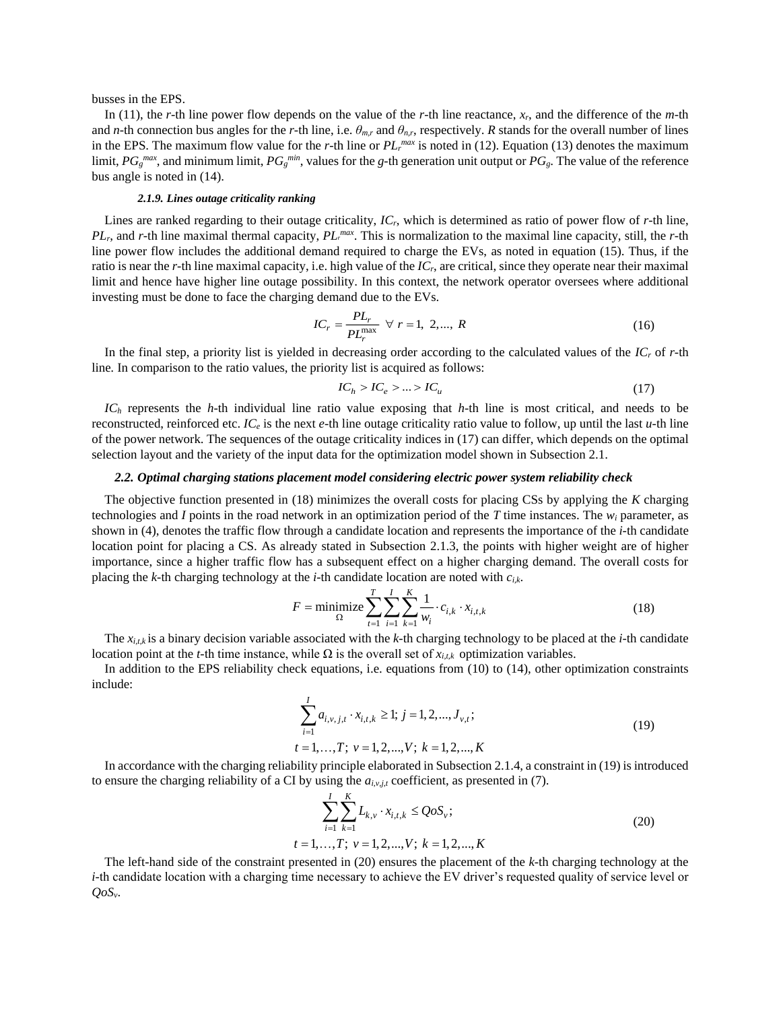busses in the EPS.

In [\(11\),](#page-4-6) the *r*-th line power flow depends on the value of the *r*-th line reactance, *xr*, and the difference of the *m*-th and *n*-th connection bus angles for the *r*-th line, i.e.  $\theta_{mr}$  and  $\theta_{nr}$ , respectively. *R* stands for the overall number of lines in the EPS. The maximum flow value for the *r*-th line or  $PL_r^{max}$  is noted in [\(12\).](#page-4-7) Equatio[n \(13\)](#page-4-8) denotes the maximum limit,  $PG_{g}^{max}$ , and minimum limit,  $PG_{g}^{min}$ , values for the *g*-th generation unit output or  $PG_{g}$ . The value of the reference bus angle is noted i[n \(14\).](#page-4-9)

#### *2.1.9. Lines outage criticality ranking*

<span id="page-5-5"></span>Lines are ranked regarding to their outage criticality, *ICr*, which is determined as ratio of power flow of *r*-th line, *PLr*, and *r*-th line maximal thermal capacity, *PL<sup>r</sup> max* . This is normalization to the maximal line capacity, still, the *r*-th line power flow includes the additional demand required to charge the EVs, as noted in equation [\(15\).](#page-4-10) Thus, if the ratio is near the *r*-th line maximal capacity, i.e. high value of the *ICr*, are critical, since they operate near their maximal limit and hence have higher line outage possibility. In this context, the network operator oversees where additional investing must be done to face the charging demand due to the EVs.

$$
IC_r = \frac{PL_r}{PL_r^{\max}} \ \forall \ r = 1, \ 2, ..., \ R
$$
 (16)

In the final step, a priority list is yielded in decreasing order according to the calculated values of the *IC<sup>r</sup>* of *r*-th line*.* In comparison to the ratio values, the priority list is acquired as follows:

<span id="page-5-6"></span><span id="page-5-1"></span>
$$
IC_h > IC_e > \ldots > IC_u \tag{17}
$$

*IC<sup>h</sup>* represents the *h*-th individual line ratio value exposing that *h*-th line is most critical, and needs to be reconstructed, reinforced etc. *IC<sup>e</sup>* is the next *e*-th line outage criticality ratio value to follow, up until the last *u*-th line of the power network. The sequences of the outage criticality indices i[n \(17\)](#page-5-1) can differ, which depends on the optimal selection layout and the variety of the input data for the optimization model shown in Subsection [2.1.](#page-2-4)

#### <span id="page-5-0"></span>*2.2. Optimal charging stations placement model considering electric power system reliability check*

The objective function presented in [\(18\)](#page-5-2) minimizes the overall costs for placing CSs by applying the *K* charging technologies and *I* points in the road network in an optimization period of the *T* time instances. The  $w_i$  parameter, as shown in [\(4\),](#page-3-3) denotes the traffic flow through a candidate location and represents the importance of the *i*-th candidate location point for placing a CS. As already stated in Subsection [2.1.3,](#page-2-3) the points with higher weight are of higher importance, since a higher traffic flow has a subsequent effect on a higher charging demand. The overall costs for placing the *k*-th charging technology at the *i*-th candidate location are noted with *ci,k*.

<span id="page-5-2"></span>
$$
F = \min_{\Omega} \sum_{t=1}^{T} \sum_{i=1}^{I} \sum_{k=1}^{K} \frac{1}{w_i} \cdot c_{i,k} \cdot x_{i,t,k}
$$
 (18)

The *xi,t,k* is a binary decision variable associated with the *k*-th charging technology to be placed at the *i*-th candidate location point at the *t*-th time instance, while Ω is the overall set of *xi,t,k* optimization variables.

In addition to the EPS reliability check equations, i.e. equations from [\(10\)](#page-4-5) to [\(14\),](#page-4-9) other optimization constraints include:

<span id="page-5-3"></span>
$$
\sum_{i=1}^{I} a_{i,v,j,t} \cdot x_{i,t,k} \ge 1; j = 1, 2, ..., J_{v,t};
$$
  
\n $t = 1, ..., T; v = 1, 2, ..., V; k = 1, 2, ..., K$  (19)

In accordance with the charging reliability principle elaborated in Subsection [2.1.4,](#page-3-0) a constraint in [\(19\)](#page-5-3) is introduced to ensure the charging reliability of a CI by using the  $a_{i,v,j,t}$  coefficient, as presented in  $(7)$ .

<span id="page-5-4"></span>
$$
\sum_{i=1}^{I} \sum_{k=1}^{K} L_{k,v} \cdot x_{i,t,k} \le Q_o S_v;
$$
  
\n
$$
t = 1,...,T; \ v = 1,2,...,V; \ k = 1,2,...,K
$$
\n(20)

The left-hand side of the constraint presented in [\(20\)](#page-5-4) ensures the placement of the *k*-th charging technology at the *i*-th candidate location with a charging time necessary to achieve the EV driver's requested quality of service level or *QoSv*.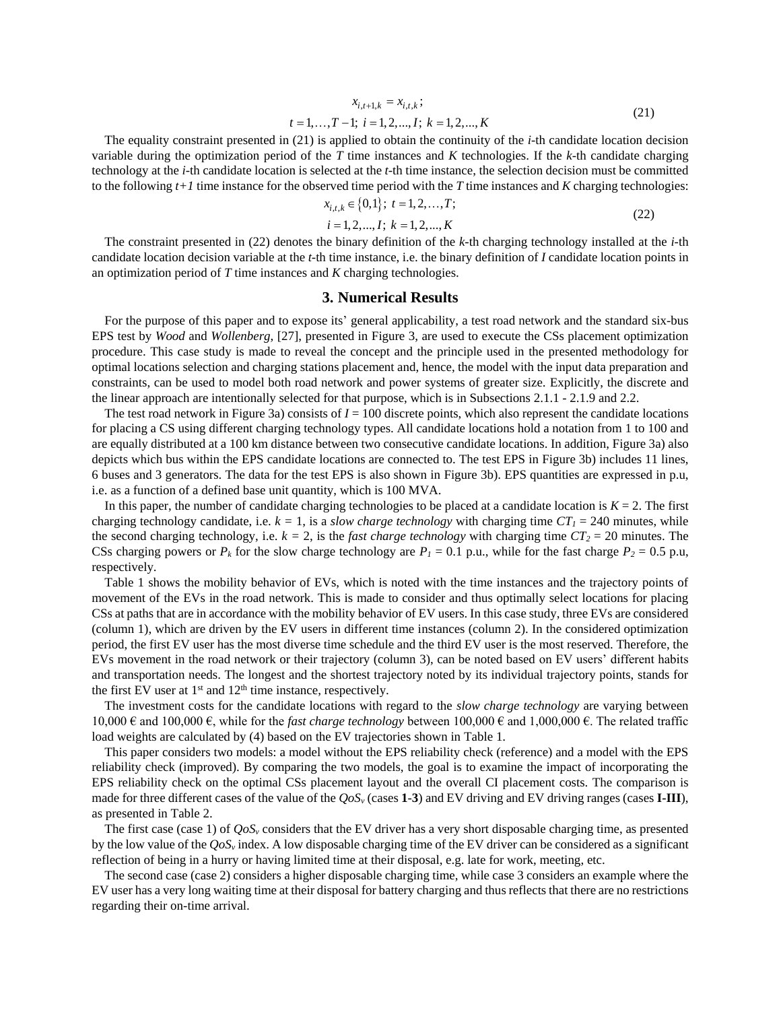$$
x_{i,t+1,k} = x_{i,t,k};
$$
  
\n
$$
t = 1,...,T-1; \quad i = 1,2,...,I; \quad k = 1,2,...,K
$$
\n(21)

The equality constraint presented in [\(21\)](#page-6-1) is applied to obtain the continuity of the *i*-th candidate location decision variable during the optimization period of the *T* time instances and *K* technologies. If the *k*-th candidate charging technology at the *i*-th candidate location is selected at the *t*-th time instance, the selection decision must be committed to the following *t+1* time instance for the observed time period with the *T* time instances and *K* charging technologies:

<span id="page-6-2"></span><span id="page-6-1"></span>
$$
x_{i,t,k} \in \{0,1\}; \ t = 1,2,...,T; \n i = 1,2,..., I; \ k = 1,2,...,K
$$
\n(22)

The constraint presented in [\(22\)](#page-6-2) denotes the binary definition of the *k*-th charging technology installed at the *i*-th candidate location decision variable at the *t*-th time instance, i.e. the binary definition of *I* candidate location points in an optimization period of *T* time instances and *K* charging technologies.

## **3. Numerical Results**

<span id="page-6-0"></span>For the purpose of this paper and to expose its' general applicability, a test road network and the standard six-bus EPS test by *Wood* and *Wollenberg*, [\[27\],](#page-9-6) presented in [Figure 3,](#page-12-0) are used to execute the CSs placement optimization procedure. This case study is made to reveal the concept and the principle used in the presented methodology for optimal locations selection and charging stations placement and, hence, the model with the input data preparation and constraints, can be used to model both road network and power systems of greater size. Explicitly, the discrete and the linear approach are intentionally selected for that purpose, which is in Subsection[s 2.1.1](#page-2-1) - [2.1.9](#page-5-5) and [2.2.](#page-5-0)

The test road network in [Figure 3a](#page-12-0)) consists of  $I = 100$  discrete points, which also represent the candidate locations for placing a CS using different charging technology types. All candidate locations hold a notation from 1 to 100 and are equally distributed at a 100 km distance between two consecutive candidate locations. In addition, [Figure 3a](#page-12-0)) also depicts which bus within the EPS candidate locations are connected to. The test EPS in [Figure 3b](#page-12-0)) includes 11 lines, 6 buses and 3 generators. The data for the test EPS is also shown in [Figure 3b](#page-12-0)). EPS quantities are expressed in p.u, i.e. as a function of a defined base unit quantity, which is 100 MVA.

In this paper, the number of candidate charging technologies to be placed at a candidate location is  $K = 2$ . The first charging technology candidate, i.e.  $k = 1$ , is a *slow charge technology* with charging time  $CT<sub>l</sub> = 240$  minutes, while the second charging technology, i.e.  $k = 2$ , is the *fast charge technology* with charging time  $CT_2 = 20$  minutes. The CSs charging powers or  $P_k$  for the slow charge technology are  $P_l = 0.1$  p.u., while for the fast charge  $P_2 = 0.5$  p.u, respectively.

[Table 1](#page-15-0) shows the mobility behavior of EVs, which is noted with the time instances and the trajectory points of movement of the EVs in the road network. This is made to consider and thus optimally select locations for placing CSs at paths that are in accordance with the mobility behavior of EV users. In this case study, three EVs are considered (column 1), which are driven by the EV users in different time instances (column 2). In the considered optimization period, the first EV user has the most diverse time schedule and the third EV user is the most reserved. Therefore, the EVs movement in the road network or their trajectory (column 3), can be noted based on EV users' different habits and transportation needs. The longest and the shortest trajectory noted by its individual trajectory points, stands for the first EV user at  $1<sup>st</sup>$  and  $12<sup>th</sup>$  time instance, respectively.

The investment costs for the candidate locations with regard to the *slow charge technology* are varying between 10,000 € and 100,000 €, while for the *fast charge technology* between 100,000 € and 1,000,000 €. The related traffic load weights are calculated b[y \(4\)](#page-3-3) based on the EV trajectories shown in [Table 1.](#page-15-0)

This paper considers two models: a model without the EPS reliability check (reference) and a model with the EPS reliability check (improved). By comparing the two models, the goal is to examine the impact of incorporating the EPS reliability check on the optimal CSs placement layout and the overall CI placement costs. The comparison is made for three different cases of the value of the *QoS<sup>v</sup>* (cases **1**-**3**) and EV driving and EV driving ranges (cases **I-III**), as presented in [Table 2.](#page-15-1)

The first case (case 1) of  $QoS<sub>v</sub>$  considers that the EV driver has a very short disposable charging time, as presented by the low value of the  $O_0S_v$  index. A low disposable charging time of the EV driver can be considered as a significant reflection of being in a hurry or having limited time at their disposal, e.g. late for work, meeting, etc.

The second case (case 2) considers a higher disposable charging time, while case 3 considers an example where the EV user has a very long waiting time at their disposal for battery charging and thus reflects that there are no restrictions regarding their on-time arrival.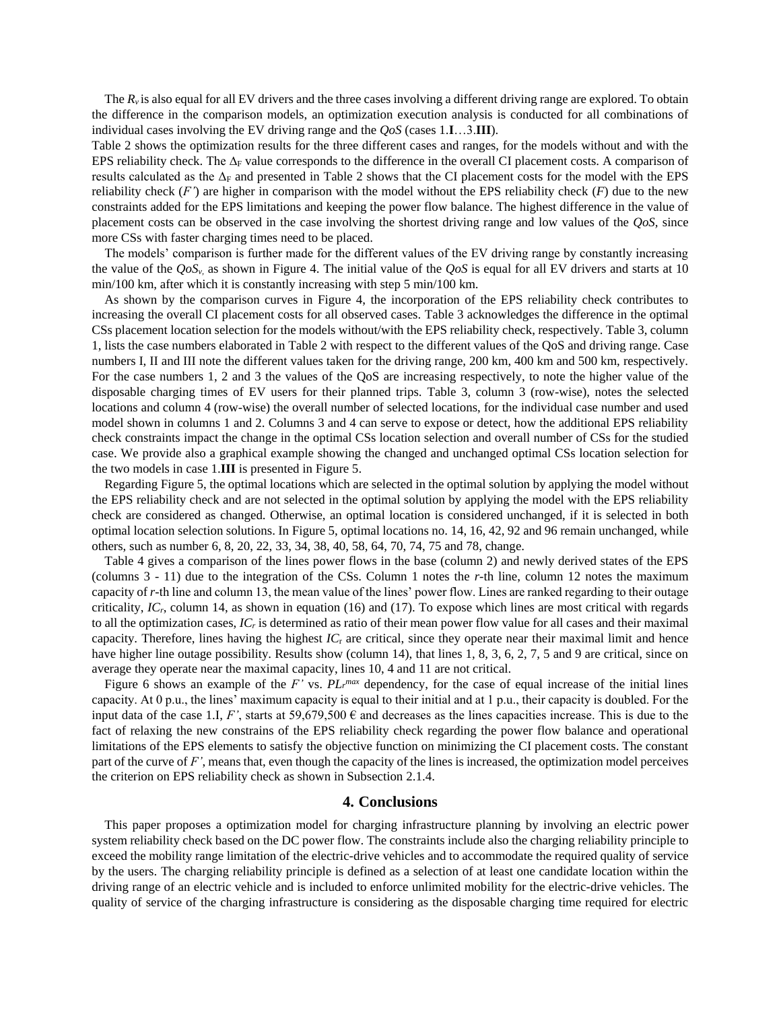The  $R_\nu$  is also equal for all EV drivers and the three cases involving a different driving range are explored. To obtain the difference in the comparison models, an optimization execution analysis is conducted for all combinations of individual cases involving the EV driving range and the *QoS* (cases 1.**I**…3.**III**).

[Table 2](#page-15-1) shows the optimization results for the three different cases and ranges, for the models without and with the EPS reliability check. The  $\Delta_F$  value corresponds to the difference in the overall CI placement costs. A comparison of results calculated as the  $\Delta_F$  and presented in [Table 2](#page-15-1) shows that the CI placement costs for the model with the EPS reliability check (*F'*) are higher in comparison with the model without the EPS reliability check (*F*) due to the new constraints added for the EPS limitations and keeping the power flow balance. The highest difference in the value of placement costs can be observed in the case involving the shortest driving range and low values of the *QoS,* since more CSs with faster charging times need to be placed.

The models' comparison is further made for the different values of the EV driving range by constantly increasing the value of the *QoSv,* as shown in [Figure 4.](#page-13-0) The initial value of the *QoS* is equal for all EV drivers and starts at 10 min/100 km, after which it is constantly increasing with step 5 min/100 km.

As shown by the comparison curves in [Figure 4,](#page-13-0) the incorporation of the EPS reliability check contributes to increasing the overall CI placement costs for all observed cases. [Table 3](#page-15-2) acknowledges the difference in the optimal CSs placement location selection for the models without/with the EPS reliability check, respectively. [Table 3,](#page-15-2) column 1, lists the case numbers elaborated in [Table 2](#page-15-1) with respect to the different values of the QoS and driving range. Case numbers I, II and III note the different values taken for the driving range, 200 km, 400 km and 500 km, respectively. For the case numbers 1, 2 and 3 the values of the QoS are increasing respectively, to note the higher value of the disposable charging times of EV users for their planned trips. [Table 3,](#page-15-2) column 3 (row-wise), notes the selected locations and column 4 (row-wise) the overall number of selected locations, for the individual case number and used model shown in columns 1 and 2. Columns 3 and 4 can serve to expose or detect, how the additional EPS reliability check constraints impact the change in the optimal CSs location selection and overall number of CSs for the studied case. We provide also a graphical example showing the changed and unchanged optimal CSs location selection for the two models in case 1.**III** is presented in [Figure 5.](#page-14-0)

Regarding [Figure 5,](#page-14-0) the optimal locations which are selected in the optimal solution by applying the model without the EPS reliability check and are not selected in the optimal solution by applying the model with the EPS reliability check are considered as changed. Otherwise, an optimal location is considered unchanged, if it is selected in both optimal location selection solutions. In [Figure 5,](#page-14-0) optimal locations no. 14, 16, 42, 92 and 96 remain unchanged, while others, such as number 6, 8, 20, 22, 33, 34, 38, 40, 58, 64, 70, 74, 75 and 78, change.

[Table 4](#page-16-0) gives a comparison of the lines power flows in the base (column 2) and newly derived states of the EPS (columns 3 - 11) due to the integration of the CSs. Column 1 notes the *r*-th line, column 12 notes the maximum capacity of *r*-th line and column 13, the mean value of the lines' power flow. Lines are ranked regarding to their outage criticality,  $IC_r$ , column 14, as shown in equation [\(16\)](#page-5-6) and [\(17\).](#page-5-1) To expose which lines are most critical with regards to all the optimization cases, *IC<sup>r</sup>* is determined as ratio of their mean power flow value for all cases and their maximal capacity. Therefore, lines having the highest  $IC<sub>r</sub>$  are critical, since they operate near their maximal limit and hence have higher line outage possibility. Results show (column 14), that lines 1, 8, 3, 6, 2, 7, 5 and 9 are critical, since on average they operate near the maximal capacity, lines 10, 4 and 11 are not critical.

[Figure 6](#page-14-1) shows an example of the  $F'$  vs.  $PL<sup>max</sup>$  dependency, for the case of equal increase of the initial lines capacity. At 0 p.u., the lines' maximum capacity is equal to their initial and at 1 p.u., their capacity is doubled. For the input data of the case 1.I, *F'*, starts at 59,679,500  $\epsilon$  and decreases as the lines capacities increase. This is due to the fact of relaxing the new constrains of the EPS reliability check regarding the power flow balance and operational limitations of the EPS elements to satisfy the objective function on minimizing the CI placement costs. The constant part of the curve of *F'*, means that, even though the capacity of the lines is increased, the optimization model perceives the criterion on EPS reliability check as shown in Subsection [2.1.4.](#page-3-0)

## **4. Conclusions**

<span id="page-7-0"></span>This paper proposes a optimization model for charging infrastructure planning by involving an electric power system reliability check based on the DC power flow. The constraints include also the charging reliability principle to exceed the mobility range limitation of the electric-drive vehicles and to accommodate the required quality of service by the users. The charging reliability principle is defined as a selection of at least one candidate location within the driving range of an electric vehicle and is included to enforce unlimited mobility for the electric-drive vehicles. The quality of service of the charging infrastructure is considering as the disposable charging time required for electric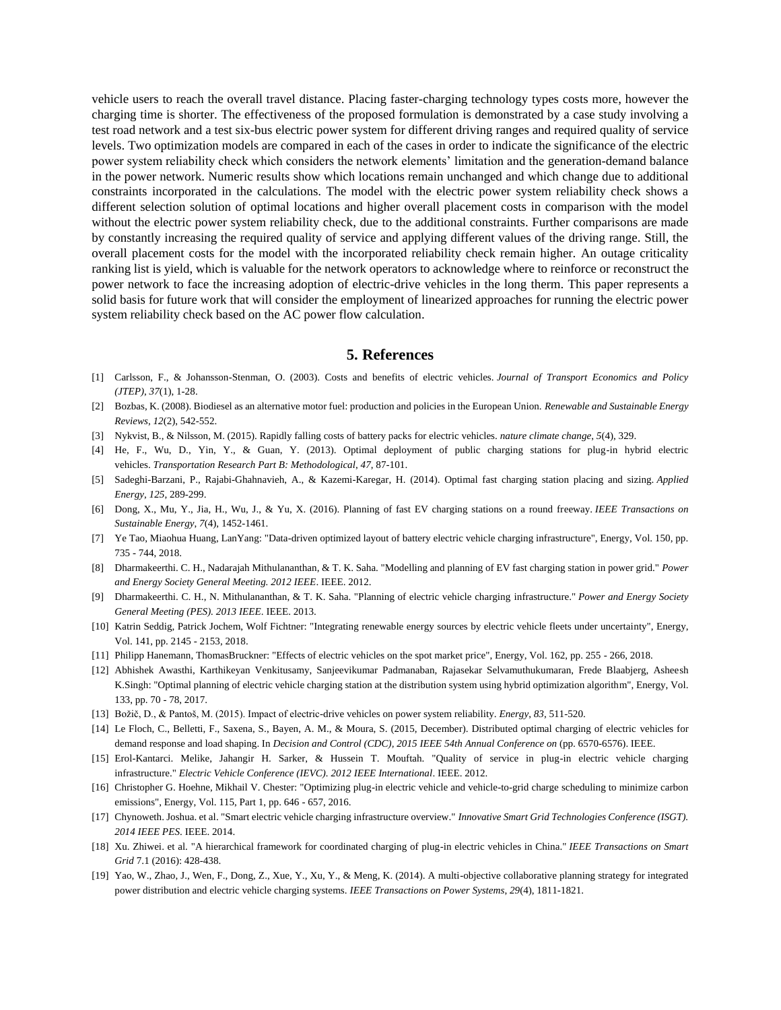vehicle users to reach the overall travel distance. Placing faster-charging technology types costs more, however the charging time is shorter. The effectiveness of the proposed formulation is demonstrated by a case study involving a test road network and a test six-bus electric power system for different driving ranges and required quality of service levels. Two optimization models are compared in each of the cases in order to indicate the significance of the electric power system reliability check which considers the network elements' limitation and the generation-demand balance in the power network. Numeric results show which locations remain unchanged and which change due to additional constraints incorporated in the calculations. The model with the electric power system reliability check shows a different selection solution of optimal locations and higher overall placement costs in comparison with the model without the electric power system reliability check, due to the additional constraints. Further comparisons are made by constantly increasing the required quality of service and applying different values of the driving range. Still, the overall placement costs for the model with the incorporated reliability check remain higher. An outage criticality ranking list is yield, which is valuable for the network operators to acknowledge where to reinforce or reconstruct the power network to face the increasing adoption of electric-drive vehicles in the long therm. This paper represents a solid basis for future work that will consider the employment of linearized approaches for running the electric power system reliability check based on the AC power flow calculation.

## **5. References**

- <span id="page-8-0"></span>[1] Carlsson, F., & Johansson-Stenman, O. (2003). Costs and benefits of electric vehicles. *Journal of Transport Economics and Policy (JTEP)*, *37*(1), 1-28.
- <span id="page-8-1"></span>[2] Bozbas, K. (2008). Biodiesel as an alternative motor fuel: production and policies in the European Union. *Renewable and Sustainable Energy Reviews*, *12*(2), 542-552.
- <span id="page-8-2"></span>[3] Nykvist, B., & Nilsson, M. (2015). Rapidly falling costs of battery packs for electric vehicles. *nature climate change*, *5*(4), 329.
- <span id="page-8-3"></span>[4] He, F., Wu, D., Yin, Y., & Guan, Y. (2013). Optimal deployment of public charging stations for plug-in hybrid electric vehicles. *Transportation Research Part B: Methodological*, *47*, 87-101.
- [5] Sadeghi-Barzani, P., Rajabi-Ghahnavieh, A., & Kazemi-Karegar, H. (2014). Optimal fast charging station placing and sizing. *Applied Energy*, *125*, 289-299.
- [6] Dong, X., Mu, Y., Jia, H., Wu, J., & Yu, X. (2016). Planning of fast EV charging stations on a round freeway. *IEEE Transactions on Sustainable Energy*, *7*(4), 1452-1461.
- <span id="page-8-4"></span>[7] Ye Tao, Miaohua Huang, LanYang: "Data-driven optimized layout of battery electric vehicle charging infrastructure", Energy, Vol. 150, pp. 735 - 744, 2018.
- <span id="page-8-5"></span>[8] Dharmakeerthi. C. H., Nadarajah Mithulananthan, & T. K. Saha. "Modelling and planning of EV fast charging station in power grid." *Power and Energy Society General Meeting. 2012 IEEE*. IEEE. 2012.
- <span id="page-8-6"></span>[9] Dharmakeerthi. C. H., N. Mithulananthan, & T. K. Saha. "Planning of electric vehicle charging infrastructure." *Power and Energy Society General Meeting (PES). 2013 IEEE*. IEEE. 2013.
- <span id="page-8-7"></span>[10] Katrin Seddig, Patrick Jochem, Wolf Fichtner: "Integrating renewable energy sources by electric vehicle fleets under uncertainty", Energy, Vol. 141, pp. 2145 - 2153, 2018.
- <span id="page-8-8"></span>[11] Philipp Hanemann, ThomasBruckner: "Effects of electric vehicles on the spot market price", Energy, Vol. 162, pp. 255 - 266, 2018.
- <span id="page-8-9"></span>[12] Abhishek Awasthi, Karthikeyan Venkitusamy, Sanjeevikumar Padmanaban, Rajasekar Selvamuthukumaran, Frede Blaabjerg, Asheesh K.Singh: "Optimal planning of electric vehicle charging station at the distribution system using hybrid optimization algorithm", Energy, Vol. 133, pp. 70 - 78, 2017.
- <span id="page-8-10"></span>[13] Božič, D., & Pantoš, M. (2015). Impact of electric-drive vehicles on power system reliability. *Energy*, *83*, 511-520.
- <span id="page-8-11"></span>[14] Le Floch, C., Belletti, F., Saxena, S., Bayen, A. M., & Moura, S. (2015, December). Distributed optimal charging of electric vehicles for demand response and load shaping. In *Decision and Control (CDC), 2015 IEEE 54th Annual Conference on* (pp. 6570-6576). IEEE.
- [15] Erol-Kantarci. Melike, Jahangir H. Sarker, & Hussein T. Mouftah. "Quality of service in plug-in electric vehicle charging infrastructure." *Electric Vehicle Conference (IEVC). 2012 IEEE International*. IEEE. 2012.
- <span id="page-8-13"></span>[16] Christopher G. Hoehne, Mikhail V. Chester: "Optimizing plug-in electric vehicle and vehicle-to-grid charge scheduling to minimize carbon emissions", Energy, Vol. 115, Part 1, pp. 646 - 657, 2016.
- <span id="page-8-12"></span>[17] Chynoweth. Joshua. et al. "Smart electric vehicle charging infrastructure overview." *Innovative Smart Grid Technologies Conference (ISGT). 2014 IEEE PES*. IEEE. 2014.
- <span id="page-8-14"></span>[18] Xu. Zhiwei. et al. "A hierarchical framework for coordinated charging of plug-in electric vehicles in China." *IEEE Transactions on Smart Grid* 7.1 (2016): 428-438.
- <span id="page-8-15"></span>[19] Yao, W., Zhao, J., Wen, F., Dong, Z., Xue, Y., Xu, Y., & Meng, K. (2014). A multi-objective collaborative planning strategy for integrated power distribution and electric vehicle charging systems. *IEEE Transactions on Power Systems*, *29*(4), 1811-1821.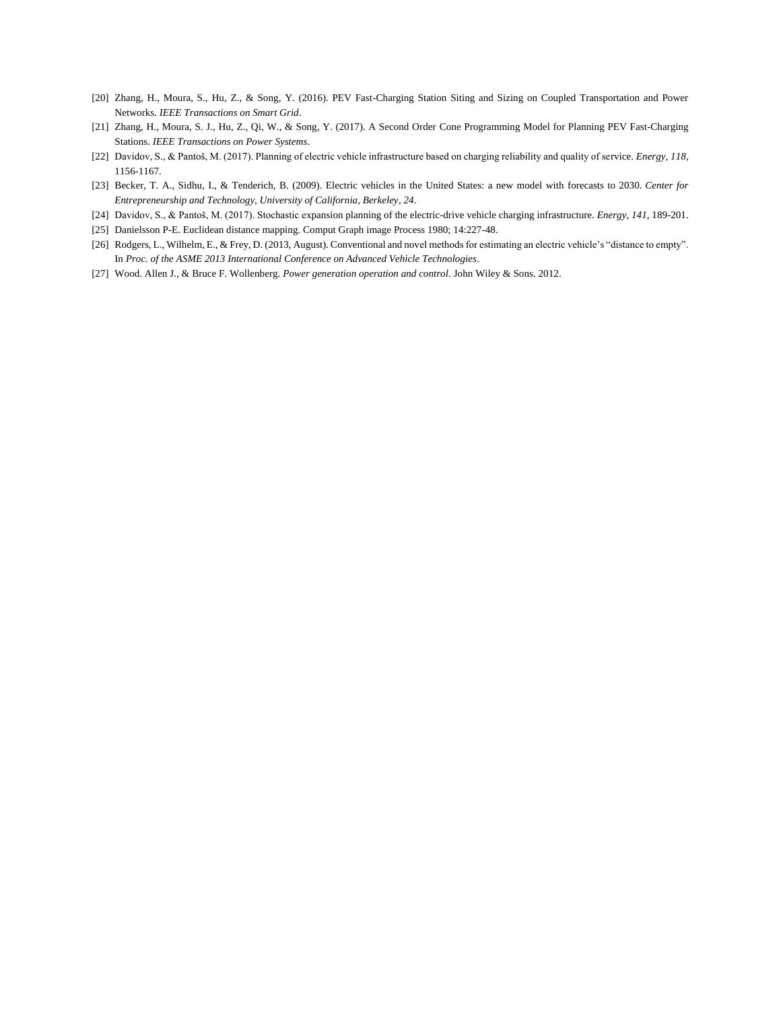- [20] Zhang, H., Moura, S., Hu, Z., & Song, Y. (2016). PEV Fast-Charging Station Siting and Sizing on Coupled Transportation and Power Networks. *IEEE Transactions on Smart Grid*.
- <span id="page-9-0"></span>[21] Zhang, H., Moura, S. J., Hu, Z., Qi, W., & Song, Y. (2017). A Second Order Cone Programming Model for Planning PEV Fast-Charging Stations. *IEEE Transactions on Power Systems*.
- <span id="page-9-1"></span>[22] Davidov, S., & Pantoš, M. (2017). Planning of electric vehicle infrastructure based on charging reliability and quality of service. *Energy*, *118*, 1156-1167.
- <span id="page-9-2"></span>[23] Becker, T. A., Sidhu, I., & Tenderich, B. (2009). Electric vehicles in the United States: a new model with forecasts to 2030. *Center for Entrepreneurship and Technology, University of California, Berkeley*, *24*.
- <span id="page-9-3"></span>[24] Davidov, S., & Pantoš, M. (2017). Stochastic expansion planning of the electric-drive vehicle charging infrastructure. *Energy*, *141*, 189-201.
- <span id="page-9-4"></span>[25] Danielsson P-E. Euclidean distance mapping. Comput Graph image Process 1980; 14:227-48.
- <span id="page-9-5"></span>[26] Rodgers, L., Wilhelm, E., & Frey, D. (2013, August). Conventional and novel methods for estimating an electric vehicle's "distance to empty". In *Proc. of the ASME 2013 International Conference on Advanced Vehicle Technologies*.
- <span id="page-9-6"></span>[27] Wood. Allen J., & Bruce F. Wollenberg. *Power generation operation and control*. John Wiley & Sons. 2012.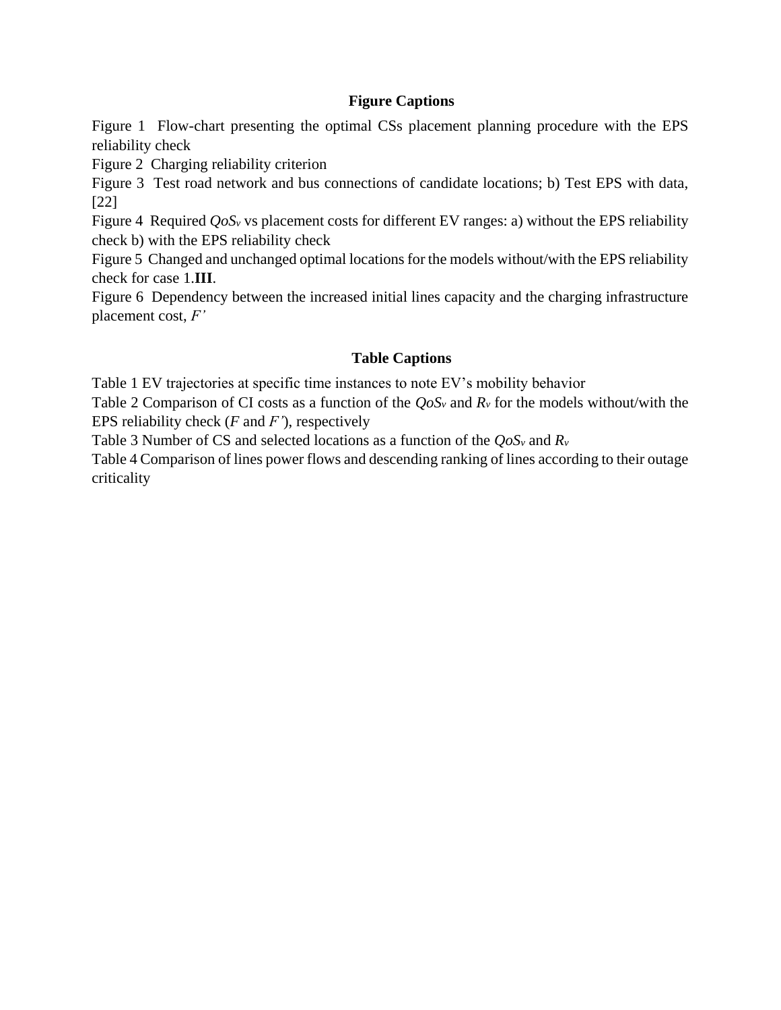# **Figure Captions**

[Figure 1 Flow-chart presenting the optimal CSs placement planning procedure with the EPS](#page-11-0)  [reliability check](#page-11-0)

[Figure 2 Charging reliability criterion](#page-11-1)

[Figure 3 Test road network and bus connections of candidate locations; b\) Test EPS with data,](#page-12-0)  [\[22\]](#page-12-0)

Figure 4 Required  $QoS_v$  vs placement costs for different EV ranges: a) without the EPS reliability [check b\) with the EPS reliability check](#page-13-0)

[Figure 5 Changed and unchanged optimal locations for the models without/with the EPS reliability](#page-14-0)  [check for](#page-14-0) case 1.**III**.

[Figure 6 Dependency between the increased initial lines capacity and the charging infrastructure](#page-14-1)  [placement cost,](#page-14-1) *F'*

# **Table Captions**

[Table 1 EV trajectories at specific time instances to note EV's mobility behavior](#page-15-0)

[Table 2 Comparison of CI costs as a function of the](#page-15-1) *QoS<sup>v</sup>* and *R<sup>v</sup>* for the models without/with the [EPS reliability check \(](#page-15-1)*F* and *F'*), respectively

[Table 3 Number of CS and selected locations as a function of the](#page-15-2) *QoS<sup>v</sup>* and *R<sup>v</sup>*

[Table 4 Comparison of lines power flows and descending ranking of lines according to their outage](#page-16-0)  [criticality](#page-16-0)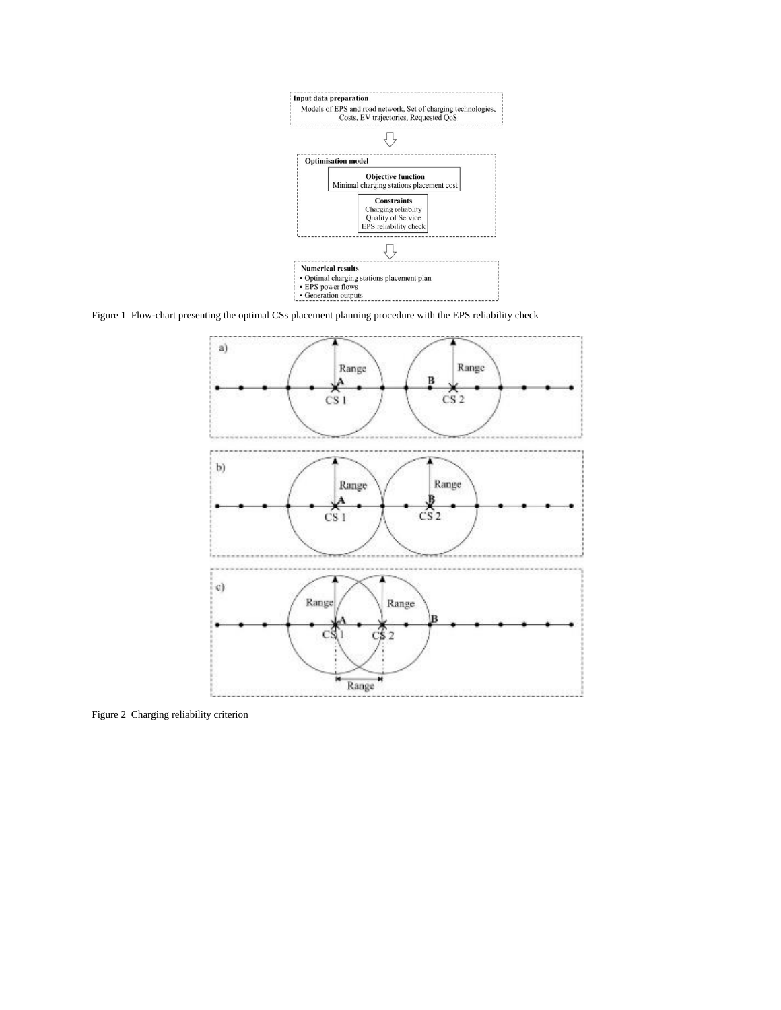

<span id="page-11-0"></span>Figure 1 Flow-chart presenting the optimal CSs placement planning procedure with the EPS reliability check



<span id="page-11-1"></span>Figure 2 Charging reliability criterion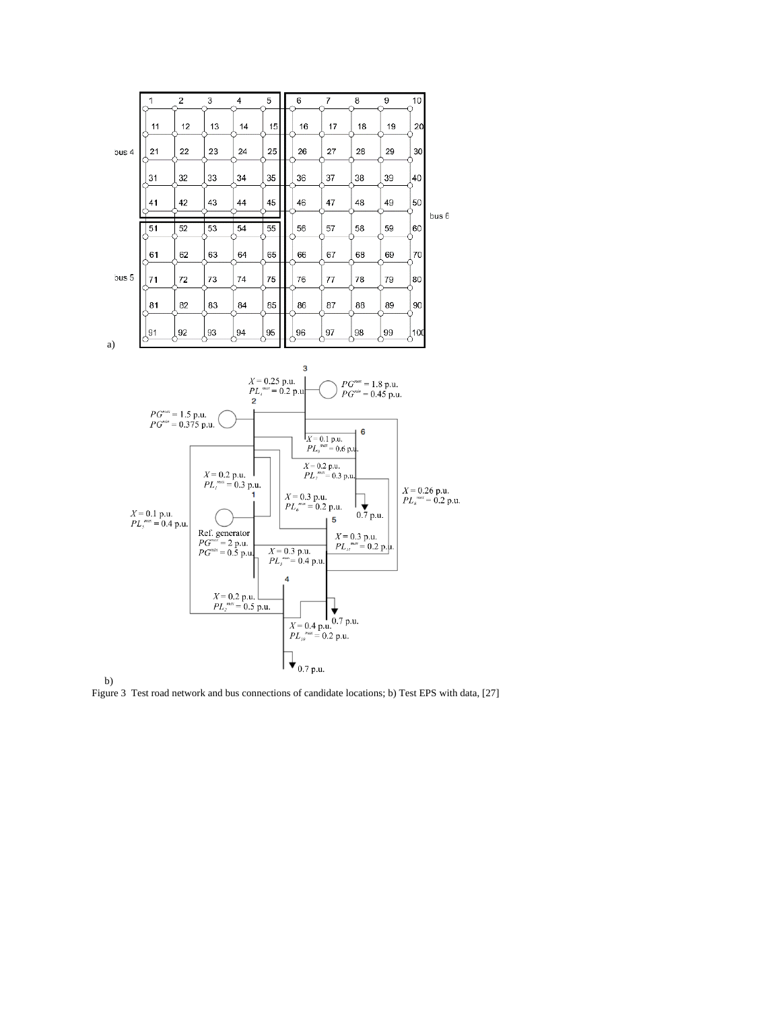

<span id="page-12-0"></span>Figure 3 Test road network and bus connections of candidate locations; b) Test EPS with data[, \[27\]](#page-9-6)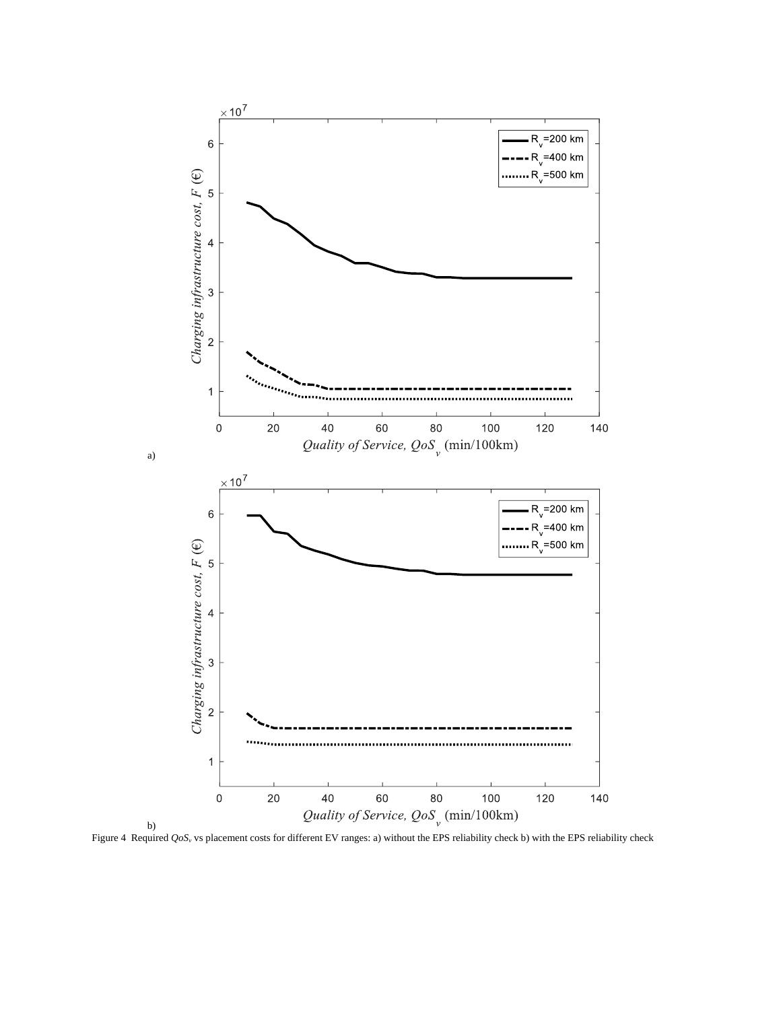

<span id="page-13-0"></span>Figure 4 Required  $QoS_v$  vs placement costs for different EV ranges: a) without the EPS reliability check b) with the EPS reliability check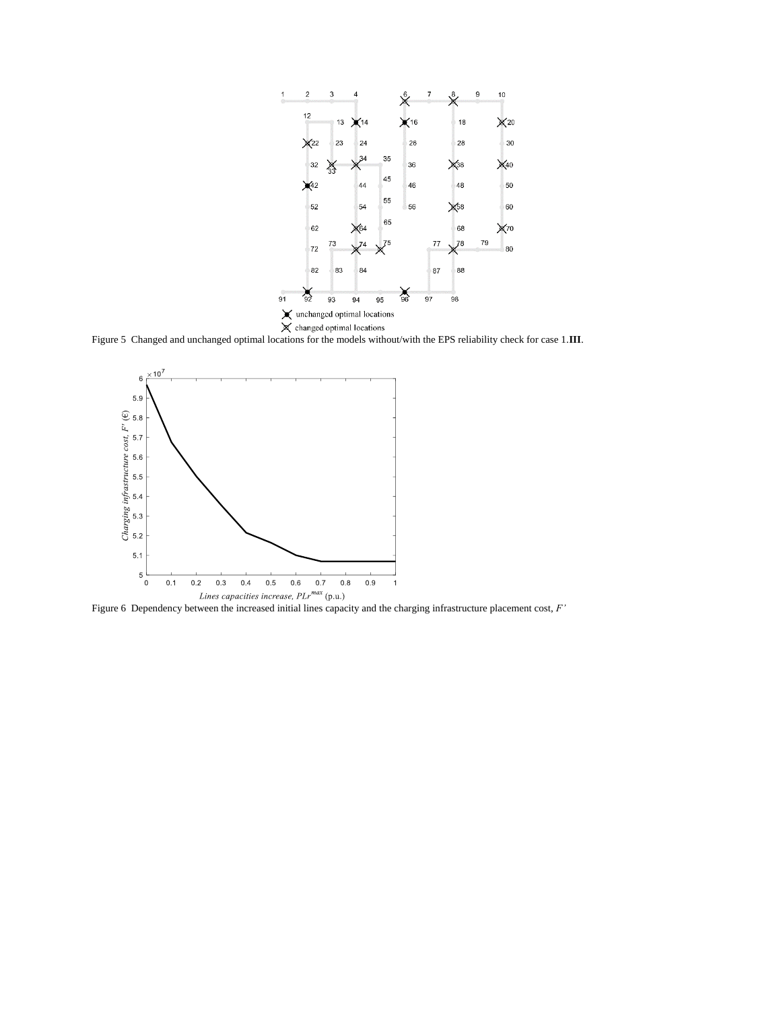

<span id="page-14-0"></span>



<span id="page-14-1"></span>Figure 6 Dependency between the increased initial lines capacity and the charging infrastructure placement cost, *F'*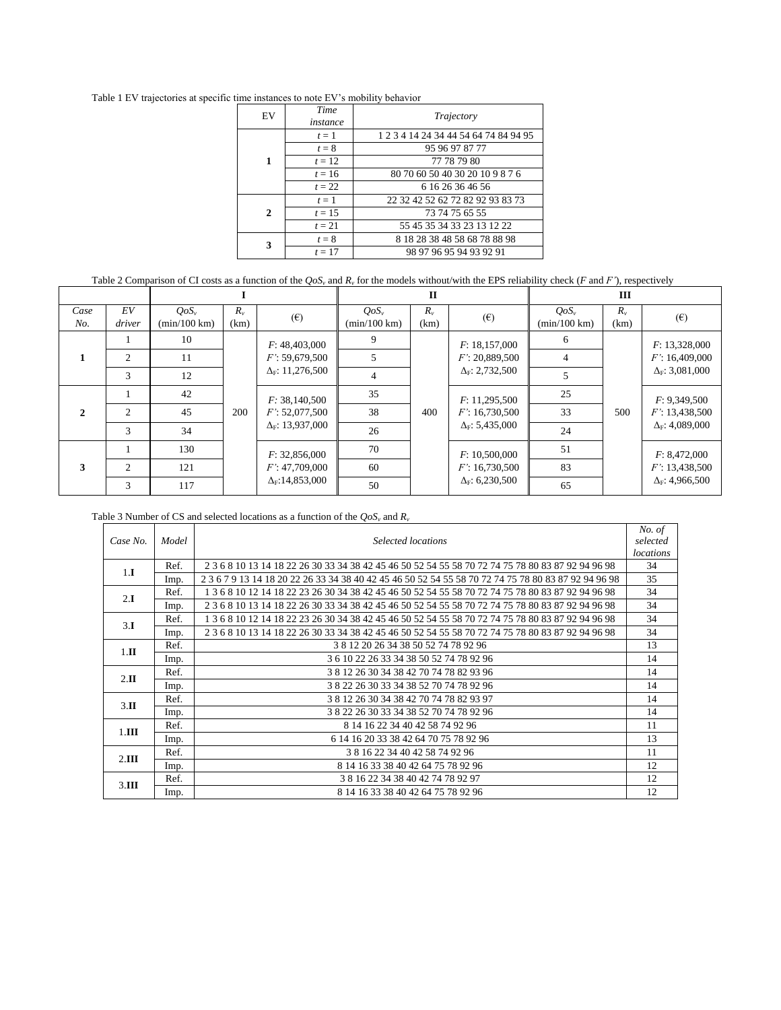<span id="page-15-0"></span>Table 1 EV trajectories at specific time instances to note EV's mobility behavior

| EV           | Time<br>instance | Trajectory                            |
|--------------|------------------|---------------------------------------|
|              | $t=1$            | 1 2 3 4 14 24 34 44 54 64 74 84 94 95 |
|              | $t=8$            | 95 96 97 87 77                        |
| $\mathbf{1}$ | $t=12$           | 77 78 79 80                           |
|              | $t=16$           | 80 70 60 50 40 30 20 10 9 8 7 6       |
|              | $t=22$           | 6 16 26 36 46 56                      |
|              | $t=1$            | 22 32 42 52 62 72 82 92 93 83 73      |
| $\mathbf{2}$ | $t = 15$         | 73 74 75 65 55                        |
|              | $t=21$           | 55 45 35 34 33 23 13 12 22            |
| 3            | $t=8$            | 8 18 28 38 48 58 68 78 88 98          |
|              | $t=17$           | 98 97 96 95 94 93 92 91               |

<span id="page-15-1"></span>

| Table 2 Comparison of CI costs as a function of the $QoS_v$ and $R_v$ for the models without/with the EPS reliability check (F and F'), respectively |  |
|------------------------------------------------------------------------------------------------------------------------------------------------------|--|
|------------------------------------------------------------------------------------------------------------------------------------------------------|--|

|              |                |                         |                 |                                                                 |                         | $\mathbf{I}$    |                                                                        | Ш                       |                 |                                                               |  |
|--------------|----------------|-------------------------|-----------------|-----------------------------------------------------------------|-------------------------|-----------------|------------------------------------------------------------------------|-------------------------|-----------------|---------------------------------------------------------------|--|
| Case<br>No.  | EV<br>driver   | $QoS_v$<br>(min/100 km) | $R_{v}$<br>(km) | $(\epsilon)$                                                    | $QoS_v$<br>(min/100 km) | $R_{v}$<br>(km) | $(\epsilon)$                                                           | $QoS_v$<br>(min/100 km) | $R_{v}$<br>(km) | $(\epsilon)$                                                  |  |
|              |                | 10                      |                 | F: 48,403,000<br>F: 59,679,500<br>$\Delta$ F: 11,276,500        | 9                       | 400             | F: 18,157,000<br>$F$ : 20,889,500<br>$\Delta$ F: 2,732,500             | 6                       | 500             | F: 13,328,000<br>$F$ : 16,409,000                             |  |
| $\mathbf{1}$ | 2              | 11                      |                 |                                                                 | 5                       |                 |                                                                        | $\overline{4}$          |                 |                                                               |  |
|              | 3              | 12                      | 200             |                                                                 |                         |                 |                                                                        |                         |                 | $\Delta$ F: 3,081,000                                         |  |
| $\mathbf{2}$ |                | 42                      |                 | F: 38,140,500<br>F: 52,077,500<br>$\Delta_{\rm F}$ : 13,937,000 | 35                      |                 | F: 11,295,500<br>$F$ : 16,730,500<br>$\Delta$ <sub>F</sub> : 5,435,000 | 25                      |                 | F: 9,349,500<br>F: 13,438,500<br>$\Delta_{\rm F}$ : 4,089,000 |  |
|              | $\overline{2}$ | 45                      |                 |                                                                 | 38                      |                 |                                                                        | 33                      |                 |                                                               |  |
|              | 3              | 34                      |                 |                                                                 | 26                      |                 |                                                                        | 24                      |                 |                                                               |  |
| 3            |                | 130                     |                 | F: 32,856,000<br>F: 47,709,000<br>$\Delta_{\rm F}$ :14,853,000  | 70                      |                 | F: 10,500,000<br>$F$ : 16,730,500<br>$\Delta$ F: 6,230,500             | 51                      |                 | F: 8,472,000<br>F: 13,438,500<br>$\Delta_{\rm F}$ : 4,966,500 |  |
|              | 2              | 121                     |                 |                                                                 | 60                      |                 |                                                                        | 83                      |                 |                                                               |  |
|              | 3              | 117                     |                 |                                                                 | 50                      |                 |                                                                        | 65                      |                 |                                                               |  |

<span id="page-15-2"></span>Table 3 Number of CS and selected locations as a function of the *QoS<sup>v</sup>* and *R<sup>v</sup>*

|                  |       | Selected locations                                                                                  |    |  |  |  |  |  |
|------------------|-------|-----------------------------------------------------------------------------------------------------|----|--|--|--|--|--|
| Case No.         | Model |                                                                                                     |    |  |  |  |  |  |
|                  |       |                                                                                                     |    |  |  |  |  |  |
| $1.\mathbf{I}$   | Ref.  | 2 3 6 8 10 13 14 18 22 26 30 33 34 38 42 45 46 50 52 54 55 58 70 72 74 75 78 80 83 87 92 94 96 98   | 34 |  |  |  |  |  |
|                  | Imp.  | 2 3 6 7 9 13 14 18 20 22 26 33 34 38 40 42 45 46 50 52 54 55 58 70 72 74 75 78 80 83 87 92 94 96 98 | 35 |  |  |  |  |  |
| $2.\mathbf{I}$   | Ref.  | 1 3 6 8 10 12 14 18 22 23 26 30 34 38 42 45 46 50 52 54 55 58 70 72 74 75 78 80 83 87 92 94 96 98   | 34 |  |  |  |  |  |
|                  | Imp.  | 2 3 6 8 10 13 14 18 22 26 30 33 34 38 42 45 46 50 52 54 55 58 70 72 74 75 78 80 83 87 92 94 96 98   | 34 |  |  |  |  |  |
| 3.I              | Ref.  | 1 3 6 8 10 12 14 18 22 23 26 30 34 38 42 45 46 50 52 54 55 58 70 72 74 75 78 80 83 87 92 94 96 98   | 34 |  |  |  |  |  |
|                  | Imp.  | 2 3 6 8 10 13 14 18 22 26 30 33 34 38 42 45 46 50 52 54 55 58 70 72 74 75 78 80 83 87 92 94 96 98   | 34 |  |  |  |  |  |
| $1.\mathbf{II}$  | Ref.  | 3 8 12 20 26 34 38 50 52 74 78 92 96                                                                | 13 |  |  |  |  |  |
|                  | Imp.  | 3 6 10 22 26 33 34 38 50 52 74 78 92 96                                                             | 14 |  |  |  |  |  |
| $2.\mathbf{II}$  | Ref.  | 3 8 12 26 30 34 38 42 70 74 78 82 93 96                                                             | 14 |  |  |  |  |  |
|                  | Imp.  | 38222630333438527074789296                                                                          | 14 |  |  |  |  |  |
| $3.\mathbf{II}$  | Ref.  | 3 8 12 26 30 34 38 42 70 74 78 82 93 97                                                             | 14 |  |  |  |  |  |
|                  | Imp.  | 38222630333438527074789296                                                                          | 14 |  |  |  |  |  |
| $1.$ III         | Ref.  | 8 14 16 22 34 40 42 58 74 92 96                                                                     | 11 |  |  |  |  |  |
|                  | Imp.  | 6 14 16 20 33 38 42 64 70 75 78 92 96                                                               | 13 |  |  |  |  |  |
| 2.III            | Ref.  | 3 8 16 22 34 40 42 58 74 92 96                                                                      | 11 |  |  |  |  |  |
|                  | Imp.  | 8 14 16 33 38 40 42 64 75 78 92 96                                                                  | 12 |  |  |  |  |  |
|                  | Ref.  | 3816223438404274789297                                                                              | 12 |  |  |  |  |  |
| $3.\mathbf{III}$ | Imp.  | 8 14 16 33 38 40 42 64 75 78 92 96                                                                  | 12 |  |  |  |  |  |